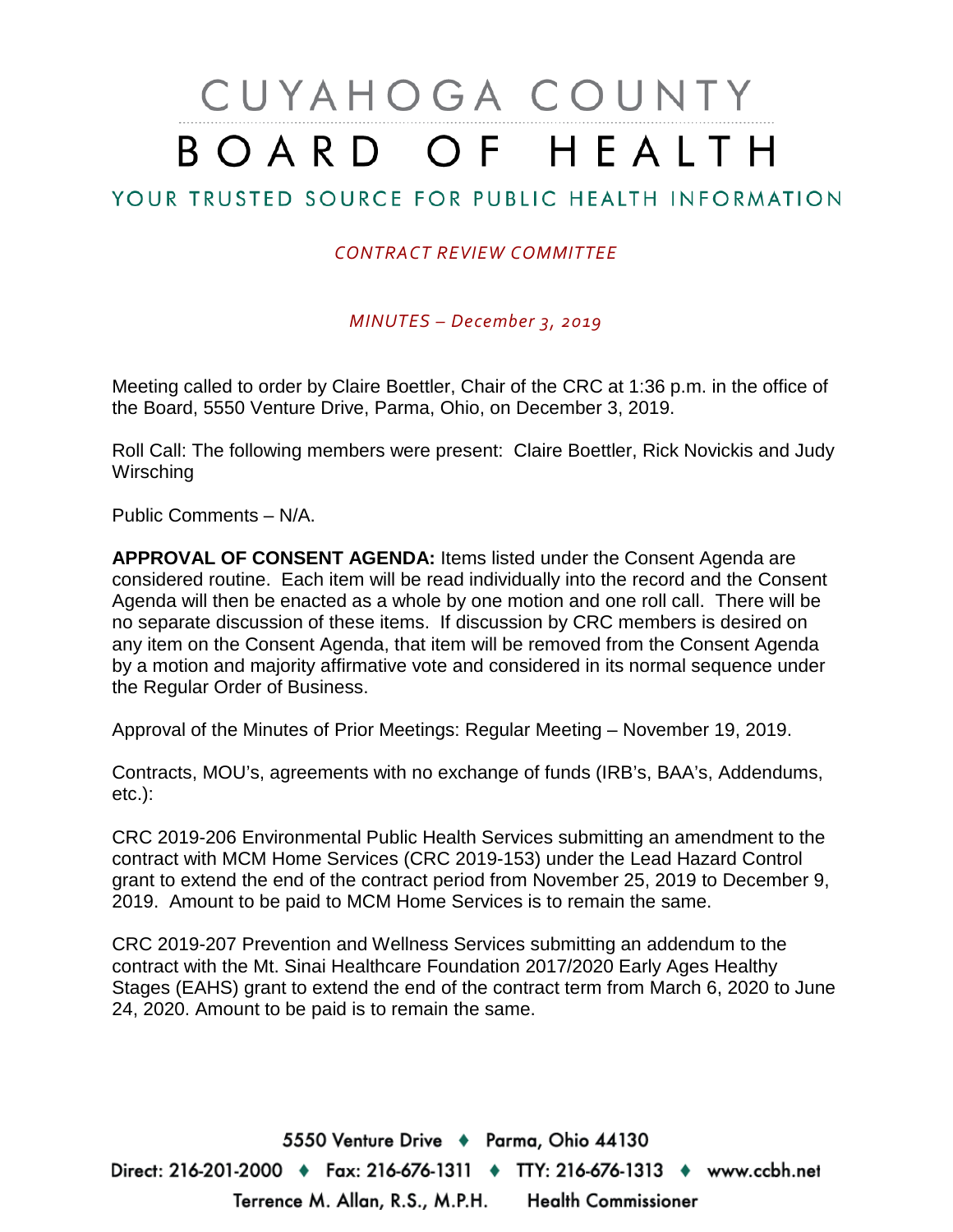# CUYAHOGA COUNTY BOARD OF HEALTH

## YOUR TRUSTED SOURCE FOR PUBLIC HEALTH INFORMATION

## *CONTRACT REVIEW COMMITTEE*

*MINUTES – December 3, 2019*

Meeting called to order by Claire Boettler, Chair of the CRC at 1:36 p.m. in the office of the Board, 5550 Venture Drive, Parma, Ohio, on December 3, 2019.

Roll Call: The following members were present: Claire Boettler, Rick Novickis and Judy **Wirsching** 

Public Comments – N/A.

**APPROVAL OF CONSENT AGENDA:** Items listed under the Consent Agenda are considered routine. Each item will be read individually into the record and the Consent Agenda will then be enacted as a whole by one motion and one roll call. There will be no separate discussion of these items. If discussion by CRC members is desired on any item on the Consent Agenda, that item will be removed from the Consent Agenda by a motion and majority affirmative vote and considered in its normal sequence under the Regular Order of Business.

Approval of the Minutes of Prior Meetings: Regular Meeting – November 19, 2019.

Contracts, MOU's, agreements with no exchange of funds (IRB's, BAA's, Addendums, etc.):

CRC 2019-206 Environmental Public Health Services submitting an amendment to the contract with MCM Home Services (CRC 2019-153) under the Lead Hazard Control grant to extend the end of the contract period from November 25, 2019 to December 9, 2019. Amount to be paid to MCM Home Services is to remain the same.

CRC 2019-207 Prevention and Wellness Services submitting an addendum to the contract with the Mt. Sinai Healthcare Foundation 2017/2020 Early Ages Healthy Stages (EAHS) grant to extend the end of the contract term from March 6, 2020 to June 24, 2020. Amount to be paid is to remain the same.

5550 Venture Drive + Parma, Ohio 44130 Direct: 216-201-2000 ♦ Fax: 216-676-1311 ♦ TTY: 216-676-1313 ♦ www.ccbh.net Terrence M. Allan, R.S., M.P.H. Health Commissioner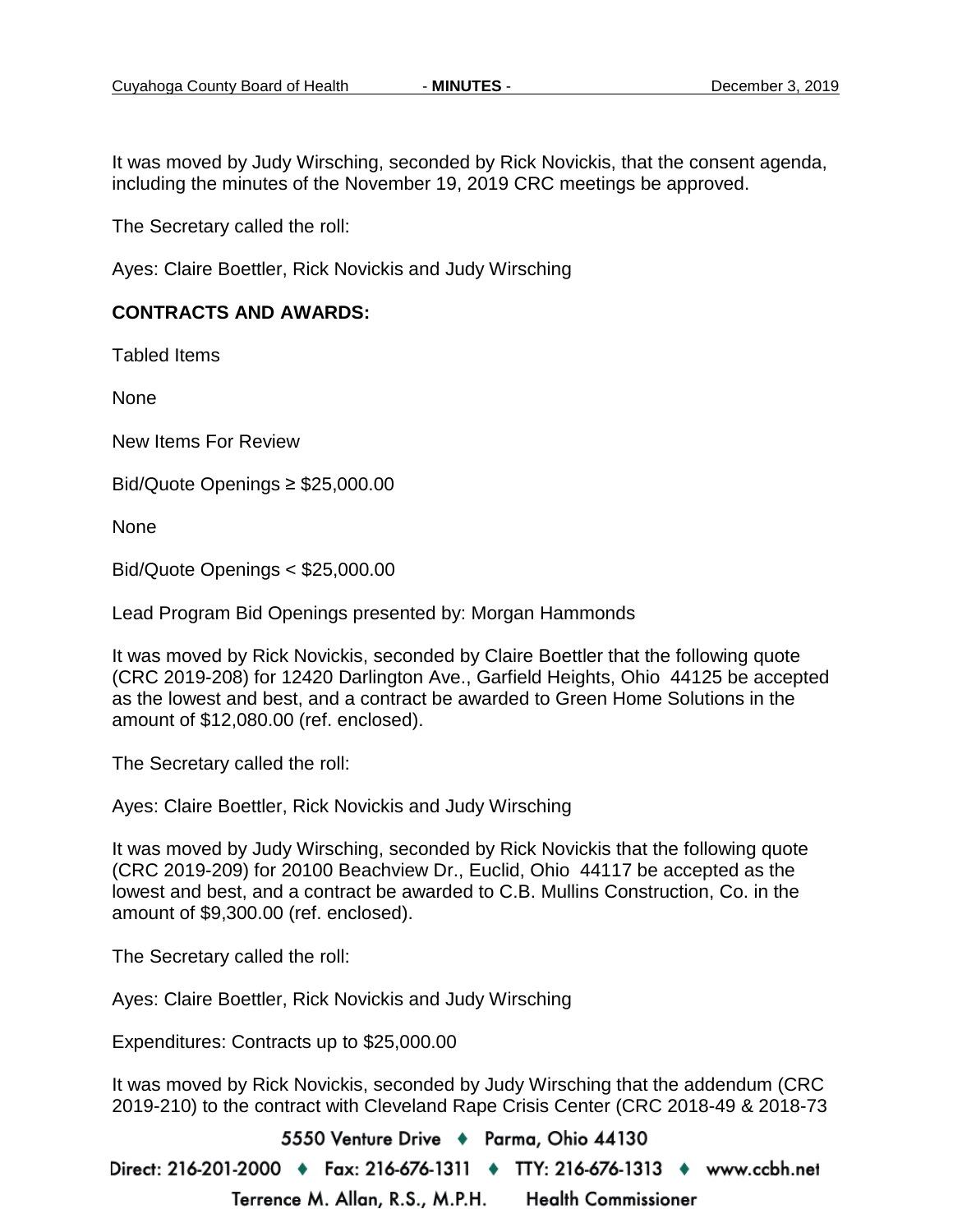It was moved by Judy Wirsching, seconded by Rick Novickis, that the consent agenda, including the minutes of the November 19, 2019 CRC meetings be approved.

The Secretary called the roll:

Ayes: Claire Boettler, Rick Novickis and Judy Wirsching

#### **CONTRACTS AND AWARDS:**

Tabled Items

None

New Items For Review

Bid/Quote Openings ≥ \$25,000.00

**None** 

Bid/Quote Openings < \$25,000.00

Lead Program Bid Openings presented by: Morgan Hammonds

It was moved by Rick Novickis, seconded by Claire Boettler that the following quote (CRC 2019-208) for 12420 Darlington Ave., Garfield Heights, Ohio 44125 be accepted as the lowest and best, and a contract be awarded to Green Home Solutions in the amount of \$12,080.00 (ref. enclosed).

The Secretary called the roll:

Ayes: Claire Boettler, Rick Novickis and Judy Wirsching

It was moved by Judy Wirsching, seconded by Rick Novickis that the following quote (CRC 2019-209) for 20100 Beachview Dr., Euclid, Ohio 44117 be accepted as the lowest and best, and a contract be awarded to C.B. Mullins Construction, Co. in the amount of \$9,300.00 (ref. enclosed).

The Secretary called the roll:

Ayes: Claire Boettler, Rick Novickis and Judy Wirsching

Expenditures: Contracts up to \$25,000.00

It was moved by Rick Novickis, seconded by Judy Wirsching that the addendum (CRC 2019-210) to the contract with Cleveland Rape Crisis Center (CRC 2018-49 & 2018-73

5550 Venture Drive + Parma, Ohio 44130

Direct: 216-201-2000 ♦ Fax: 216-676-1311 ♦ TTY: 216-676-1313 ♦ www.ccbh.net Terrence M. Allan, R.S., M.P.H. **Health Commissioner**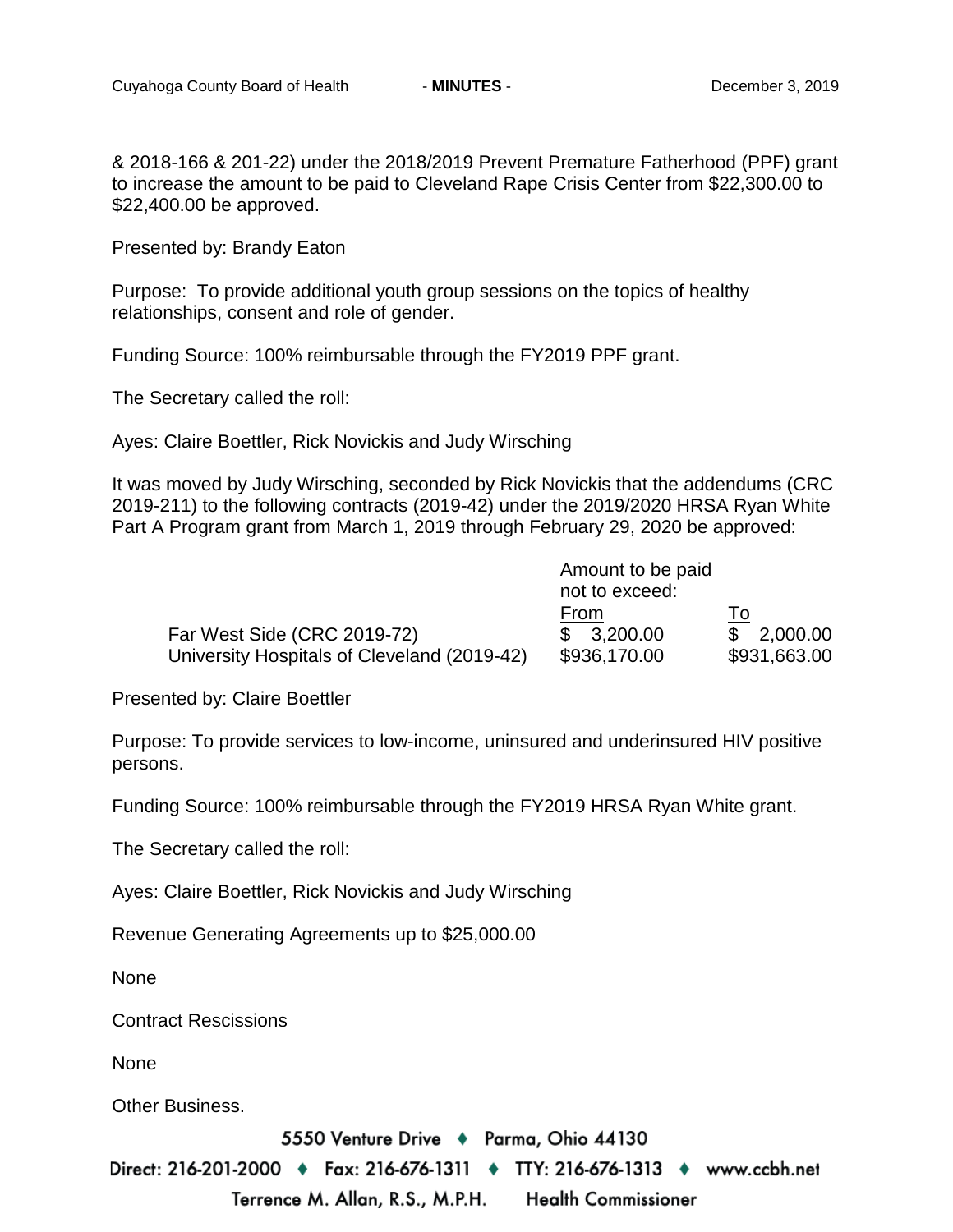& 2018-166 & 201-22) under the 2018/2019 Prevent Premature Fatherhood (PPF) grant to increase the amount to be paid to Cleveland Rape Crisis Center from \$22,300.00 to \$22,400.00 be approved.

Presented by: Brandy Eaton

Purpose: To provide additional youth group sessions on the topics of healthy relationships, consent and role of gender.

Funding Source: 100% reimbursable through the FY2019 PPF grant.

The Secretary called the roll:

Ayes: Claire Boettler, Rick Novickis and Judy Wirsching

It was moved by Judy Wirsching, seconded by Rick Novickis that the addendums (CRC 2019-211) to the following contracts (2019-42) under the 2019/2020 HRSA Ryan White Part A Program grant from March 1, 2019 through February 29, 2020 be approved:

|                                             | Amount to be paid<br>not to exceed: |              |
|---------------------------------------------|-------------------------------------|--------------|
|                                             | From                                | l o          |
| Far West Side (CRC 2019-72)                 | \$3,200.00                          | \$2,000.00   |
| University Hospitals of Cleveland (2019-42) | \$936,170.00                        | \$931,663.00 |

Presented by: Claire Boettler

Purpose: To provide services to low-income, uninsured and underinsured HIV positive persons.

Funding Source: 100% reimbursable through the FY2019 HRSA Ryan White grant.

The Secretary called the roll:

Ayes: Claire Boettler, Rick Novickis and Judy Wirsching

Revenue Generating Agreements up to \$25,000.00

None

Contract Rescissions

None

Other Business.

5550 Venture Drive + Parma, Ohio 44130

Direct: 216-201-2000 ♦ Fax: 216-676-1311 ♦ TTY: 216-676-1313 ♦ www.ccbh.net Terrence M. Allan, R.S., M.P.H. **Health Commissioner**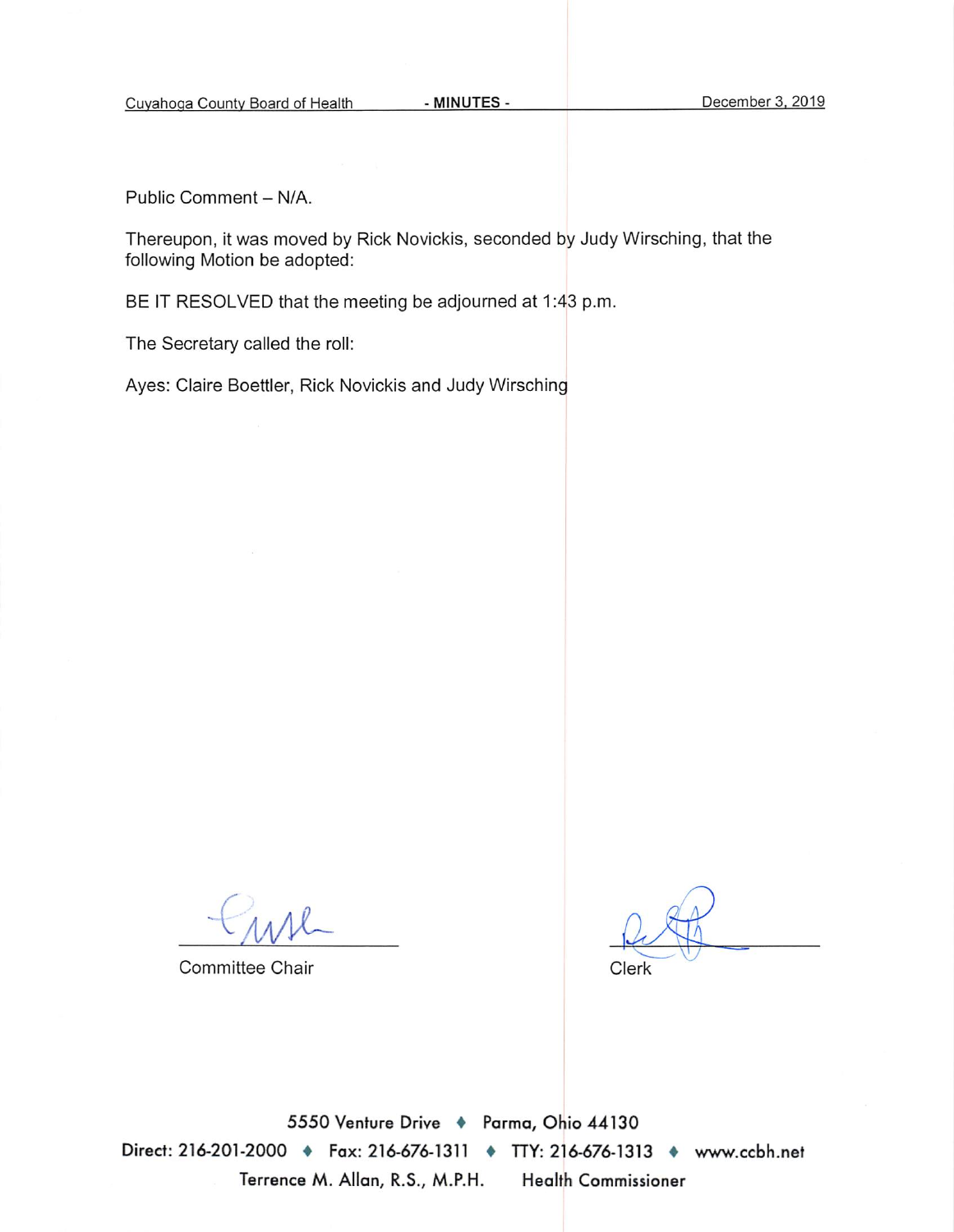Public Comment - N/A.

Thereupon, it was moved by Rick Novickis, seconded by Judy Wirsching, that the following Motion be adopted:

BE IT RESOLVED that the meeting be adjourned at 1:43 p.m.

The Secretary called the roll:

Ayes: Claire Boettler, Rick Novickis and Judy Wirsching

**Committee Chair** 

Clerk

5550 Venture Drive + Parma, Ohio 44130 Direct: 216-201-2000 • Fax: 216-676-1311 • TTY: 216-676-1313 • www.ccbh.net Terrence M. Allan, R.S., M.P.H. **Health Commissioner**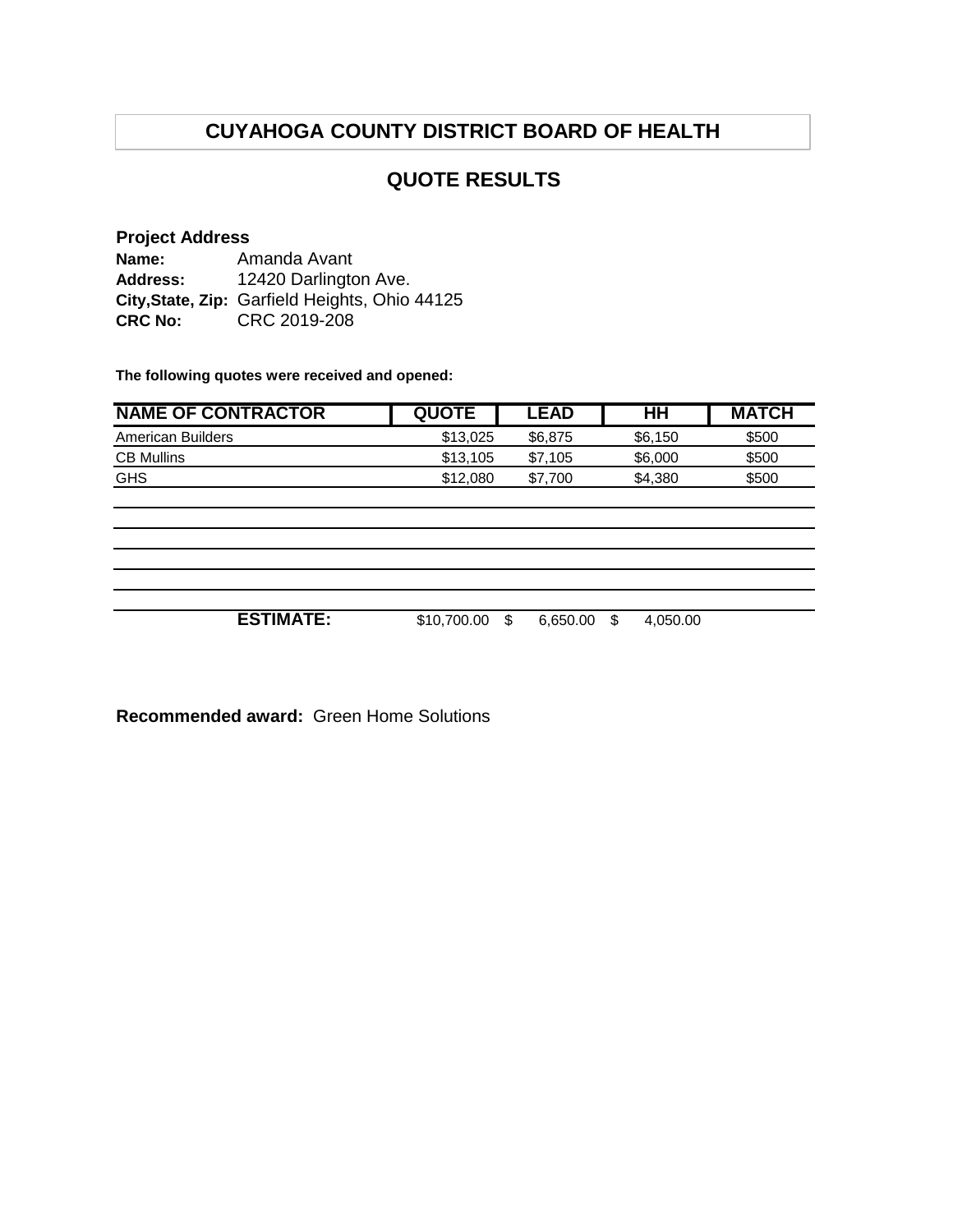# **CUYAHOGA COUNTY DISTRICT BOARD OF HEALTH**

## **QUOTE RESULTS**

#### **Project Address**

**Name: Address: City,State, Zip:** Garfield Heights, Ohio 44125 **CRC No:** CRC 2019-208 Amanda Avant 12420 Darlington Ave.

**The following quotes were received and opened:**

| <b>NAME OF CONTRACTOR</b> | <b>QUOTE</b> | <b>LEAD</b>    | HH             | <b>MATCH</b> |
|---------------------------|--------------|----------------|----------------|--------------|
| <b>American Builders</b>  | \$13,025     | \$6,875        | \$6,150        | \$500        |
| <b>CB Mullins</b>         | \$13,105     | \$7,105        | \$6,000        | \$500        |
| <b>GHS</b>                | \$12,080     | \$7,700        | \$4,380        | \$500        |
|                           |              |                |                |              |
|                           |              |                |                |              |
|                           |              |                |                |              |
|                           |              |                |                |              |
|                           |              |                |                |              |
|                           |              |                |                |              |
| <b>ESTIMATE:</b>          | \$10,700.00  | 6,650.00<br>\$ | 4,050.00<br>\$ |              |

**Recommended award:** Green Home Solutions